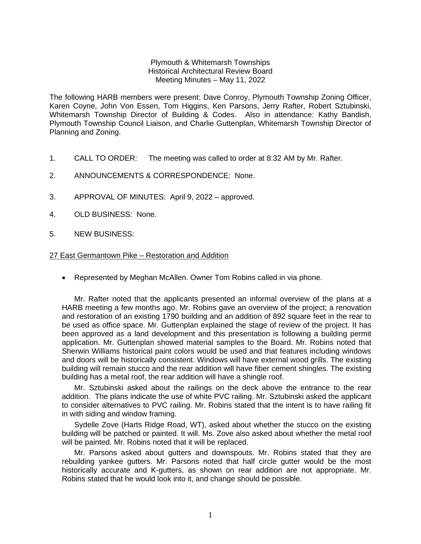## Plymouth & Whitemarsh Townships Historical Architectural Review Board Meeting Minutes – May 11, 2022

The following HARB members were present: Dave Conroy, Plymouth Township Zoning Officer, Karen Coyne, John Von Essen, Tom Higgins, Ken Parsons, Jerry Rafter, Robert Sztubinski, Whitemarsh Township Director of Building & Codes. Also in attendance: Kathy Bandish, Plymouth Township Council Liaison, and Charlie Guttenplan, Whitemarsh Township Director of Planning and Zoning.

- 1. CALL TO ORDER: The meeting was called to order at 8:32 AM by Mr. Rafter.
- 2. ANNOUNCEMENTS & CORRESPONDENCE: None.
- 3. APPROVAL OF MINUTES: April 9, 2022 approved.
- 4. OLD BUSINESS: None.
- 5. NEW BUSINESS:

## 27 East Germantown Pike – Restoration and Addition

• Represented by Meghan McAllen. Owner Tom Robins called in via phone.

Mr. Rafter noted that the applicants presented an informal overview of the plans at a HARB meeting a few months ago. Mr. Robins gave an overview of the project; a renovation and restoration of an existing 1790 building and an addition of 892 square feet in the rear to be used as office space. Mr. Guttenplan explained the stage of review of the project. It has been approved as a land development and this presentation is following a building permit application. Mr. Guttenplan showed material samples to the Board. Mr. Robins noted that Sherwin Williams historical paint colors would be used and that features including windows and doors will be historically consistent. Windows will have external wood grills. The existing building will remain stucco and the rear addition will have fiber cement shingles. The existing building has a metal roof, the rear addition will have a shingle roof.

Mr. Sztubinski asked about the railings on the deck above the entrance to the rear addition. The plans indicate the use of white PVC railing. Mr. Sztubinski asked the applicant to consider alternatives to PVC railing. Mr. Robins stated that the intent is to have railing fit in with siding and window framing.

Sydelle Zove (Harts Ridge Road, WT), asked about whether the stucco on the existing building will be patched or painted. It will. Ms. Zove also asked about whether the metal roof will be painted. Mr. Robins noted that it will be replaced.

Mr. Parsons asked about gutters and downspouts. Mr. Robins stated that they are rebuilding yankee gutters. Mr. Parsons noted that half circle gutter would be the most historically accurate and K-gutters, as shown on rear addition are not appropriate. Mr. Robins stated that he would look into it, and change should be possible.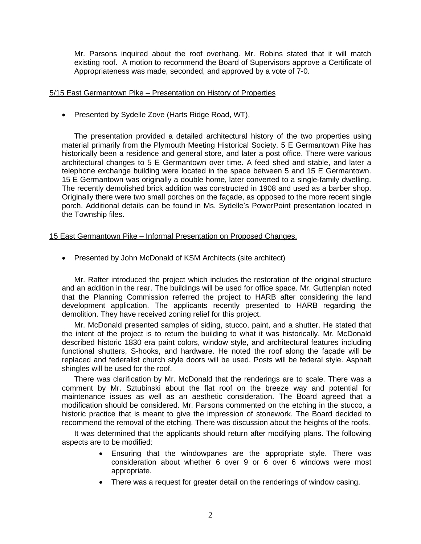Mr. Parsons inquired about the roof overhang. Mr. Robins stated that it will match existing roof. A motion to recommend the Board of Supervisors approve a Certificate of Appropriateness was made, seconded, and approved by a vote of 7-0.

## 5/15 East Germantown Pike – Presentation on History of Properties

• Presented by Sydelle Zove (Harts Ridge Road, WT),

The presentation provided a detailed architectural history of the two properties using material primarily from the Plymouth Meeting Historical Society. 5 E Germantown Pike has historically been a residence and general store, and later a post office. There were various architectural changes to 5 E Germantown over time. A feed shed and stable, and later a telephone exchange building were located in the space between 5 and 15 E Germantown. 15 E Germantown was originally a double home, later converted to a single-family dwelling. The recently demolished brick addition was constructed in 1908 and used as a barber shop. Originally there were two small porches on the façade, as opposed to the more recent single porch. Additional details can be found in Ms. Sydelle's PowerPoint presentation located in the Township files.

## 15 East Germantown Pike – Informal Presentation on Proposed Changes.

• Presented by John McDonald of KSM Architects (site architect)

Mr. Rafter introduced the project which includes the restoration of the original structure and an addition in the rear. The buildings will be used for office space. Mr. Guttenplan noted that the Planning Commission referred the project to HARB after considering the land development application. The applicants recently presented to HARB regarding the demolition. They have received zoning relief for this project.

Mr. McDonald presented samples of siding, stucco, paint, and a shutter. He stated that the intent of the project is to return the building to what it was historically. Mr. McDonald described historic 1830 era paint colors, window style, and architectural features including functional shutters, S-hooks, and hardware. He noted the roof along the façade will be replaced and federalist church style doors will be used. Posts will be federal style. Asphalt shingles will be used for the roof.

There was clarification by Mr. McDonald that the renderings are to scale. There was a comment by Mr. Sztubinski about the flat roof on the breeze way and potential for maintenance issues as well as an aesthetic consideration. The Board agreed that a modification should be considered. Mr. Parsons commented on the etching in the stucco, a historic practice that is meant to give the impression of stonework. The Board decided to recommend the removal of the etching. There was discussion about the heights of the roofs.

It was determined that the applicants should return after modifying plans. The following aspects are to be modified:

- Ensuring that the windowpanes are the appropriate style. There was consideration about whether 6 over 9 or 6 over 6 windows were most appropriate.
- There was a request for greater detail on the renderings of window casing.